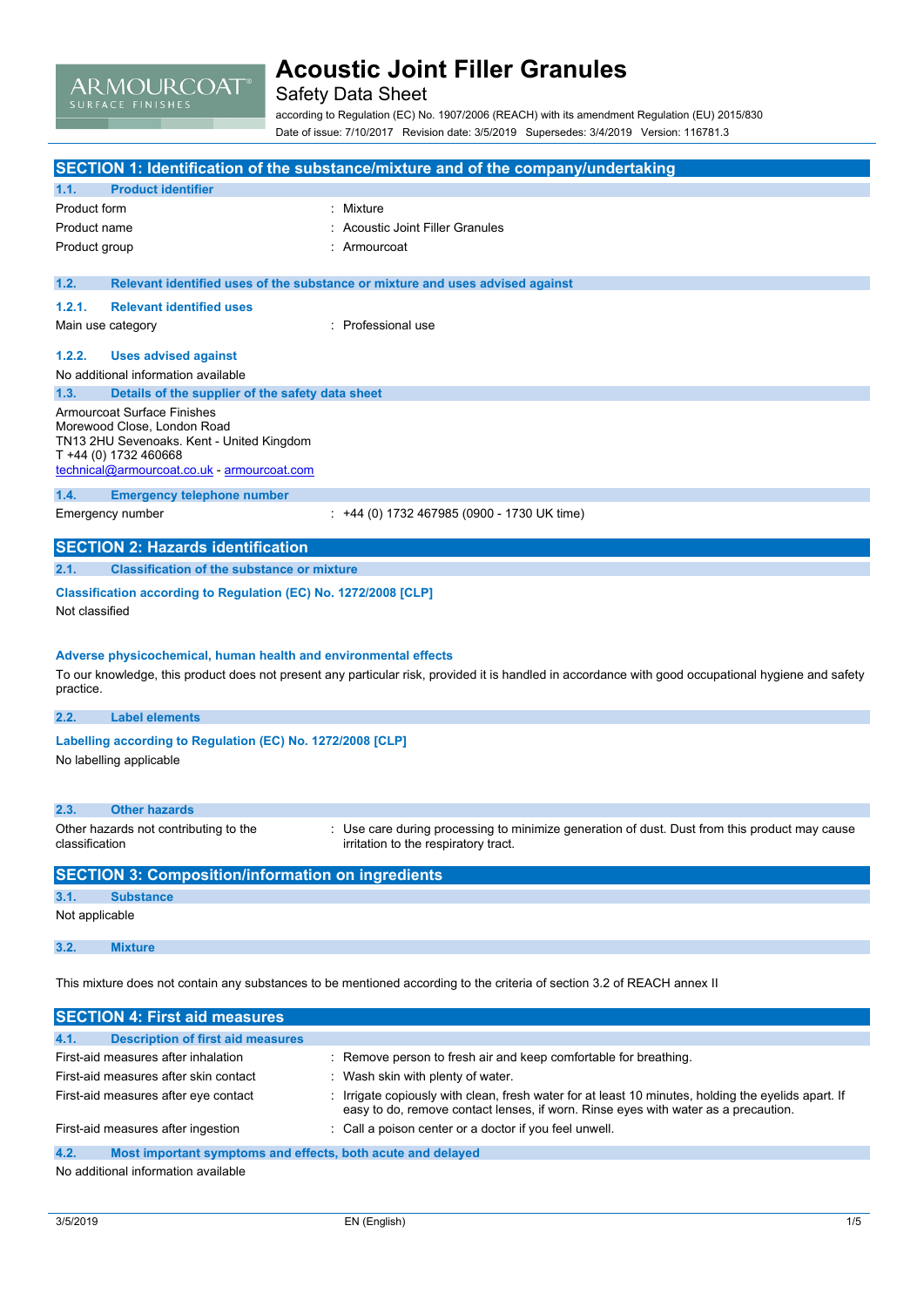

### Safety Data Sheet

according to Regulation (EC) No. 1907/2006 (REACH) with its amendment Regulation (EU) 2015/830 Date of issue: 7/10/2017 Revision date: 3/5/2019 Supersedes: 3/4/2019 Version: 116781.3

|                |                                                                          | SECTION 1: Identification of the substance/mixture and of the company/undertaking                                                                   |
|----------------|--------------------------------------------------------------------------|-----------------------------------------------------------------------------------------------------------------------------------------------------|
| 1.1.           | <b>Product identifier</b>                                                |                                                                                                                                                     |
| Product form   |                                                                          | : Mixture                                                                                                                                           |
| Product name   |                                                                          | Acoustic Joint Filler Granules                                                                                                                      |
| Product group  |                                                                          | Armourcoat                                                                                                                                          |
|                |                                                                          |                                                                                                                                                     |
| 1.2.           |                                                                          | Relevant identified uses of the substance or mixture and uses advised against                                                                       |
| 1.2.1.         | <b>Relevant identified uses</b>                                          |                                                                                                                                                     |
|                | Main use category                                                        | Professional use                                                                                                                                    |
| 1.2.2.         | <b>Uses advised against</b>                                              |                                                                                                                                                     |
|                | No additional information available                                      |                                                                                                                                                     |
| 1.3.           | Details of the supplier of the safety data sheet                         |                                                                                                                                                     |
|                | <b>Armourcoat Surface Finishes</b>                                       |                                                                                                                                                     |
|                | Morewood Close, London Road<br>TN13 2HU Sevenoaks. Kent - United Kingdom |                                                                                                                                                     |
|                | T +44 (0) 1732 460668                                                    |                                                                                                                                                     |
|                | technical@armourcoat.co.uk - armourcoat.com                              |                                                                                                                                                     |
| 1.4.           | <b>Emergency telephone number</b>                                        |                                                                                                                                                     |
|                | Emergency number                                                         | $\div$ +44 (0) 1732 467985 (0900 - 1730 UK time)                                                                                                    |
|                | <b>SECTION 2: Hazards identification</b>                                 |                                                                                                                                                     |
| 2.1.           | <b>Classification of the substance or mixture</b>                        |                                                                                                                                                     |
| Not classified | Classification according to Regulation (EC) No. 1272/2008 [CLP]          |                                                                                                                                                     |
|                |                                                                          |                                                                                                                                                     |
|                |                                                                          |                                                                                                                                                     |
|                | Adverse physicochemical, human health and environmental effects          |                                                                                                                                                     |
| practice.      |                                                                          | To our knowledge, this product does not present any particular risk, provided it is handled in accordance with good occupational hygiene and safety |
| 2.2.           | <b>Label elements</b>                                                    |                                                                                                                                                     |
|                | Labelling according to Regulation (EC) No. 1272/2008 [CLP]               |                                                                                                                                                     |
|                | No labelling applicable                                                  |                                                                                                                                                     |
|                |                                                                          |                                                                                                                                                     |
| 2.3.           | <b>Other hazards</b>                                                     |                                                                                                                                                     |
|                | Other hazards not contributing to the                                    | : Use care during processing to minimize generation of dust. Dust from this product may cause                                                       |
| classification |                                                                          | irritation to the respiratory tract.                                                                                                                |
|                | <b>SECTION 3: Composition/information on ingredients</b>                 |                                                                                                                                                     |
| 3.1.           | <b>Substance</b>                                                         |                                                                                                                                                     |
| Not applicable |                                                                          |                                                                                                                                                     |
| 3.2.           | <b>Mixture</b>                                                           |                                                                                                                                                     |
|                |                                                                          |                                                                                                                                                     |
|                |                                                                          | This mixture does not contain any substances to be mentioned according to the criteria of section 3.2 of REACH annex II                             |
|                | <b>SECTION 4: First aid measures</b>                                     |                                                                                                                                                     |
|                |                                                                          |                                                                                                                                                     |

| <b>Description of first aid measures</b><br>4.1.                    |                                                                                                                                                                                         |
|---------------------------------------------------------------------|-----------------------------------------------------------------------------------------------------------------------------------------------------------------------------------------|
| First-aid measures after inhalation                                 | : Remove person to fresh air and keep comfortable for breathing.                                                                                                                        |
| First-aid measures after skin contact                               | : Wash skin with plenty of water.                                                                                                                                                       |
| First-aid measures after eye contact                                | Irrigate copiously with clean, fresh water for at least 10 minutes, holding the eyelids apart. If<br>easy to do, remove contact lenses, if worn. Rinse eyes with water as a precaution. |
| First-aid measures after ingestion                                  | : Call a poison center or a doctor if you feel unwell.                                                                                                                                  |
| 4.2.<br>Most important symptoms and effects, both acute and delayed |                                                                                                                                                                                         |

No additional information available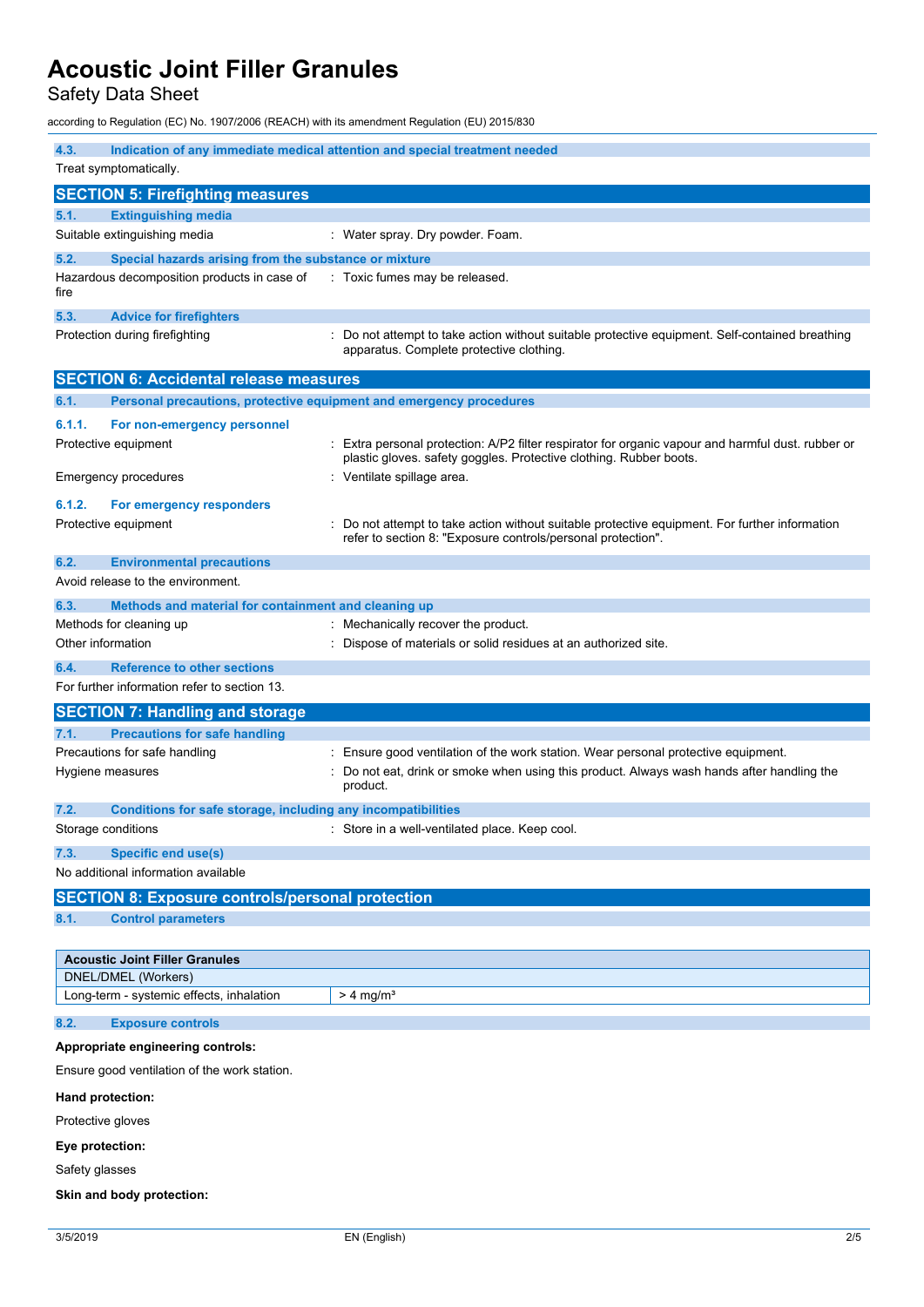Safety Data Sheet

according to Regulation (EC) No. 1907/2006 (REACH) with its amendment Regulation (EU) 2015/830

| 4.3.                                                                          | Indication of any immediate medical attention and special treatment needed                                                                                   |  |  |
|-------------------------------------------------------------------------------|--------------------------------------------------------------------------------------------------------------------------------------------------------------|--|--|
| Treat symptomatically.                                                        |                                                                                                                                                              |  |  |
| <b>SECTION 5: Firefighting measures</b>                                       |                                                                                                                                                              |  |  |
| 5.1.<br><b>Extinguishing media</b>                                            |                                                                                                                                                              |  |  |
| Suitable extinguishing media                                                  | : Water spray. Dry powder. Foam.                                                                                                                             |  |  |
| 5.2.<br>Special hazards arising from the substance or mixture                 |                                                                                                                                                              |  |  |
| Hazardous decomposition products in case of<br>fire                           | Toxic fumes may be released.                                                                                                                                 |  |  |
| 5.3.<br><b>Advice for firefighters</b>                                        |                                                                                                                                                              |  |  |
| Protection during firefighting                                                | Do not attempt to take action without suitable protective equipment. Self-contained breathing<br>apparatus. Complete protective clothing.                    |  |  |
| <b>SECTION 6: Accidental release measures</b>                                 |                                                                                                                                                              |  |  |
| Personal precautions, protective equipment and emergency procedures<br>6.1.   |                                                                                                                                                              |  |  |
| 6.1.1.<br>For non-emergency personnel                                         |                                                                                                                                                              |  |  |
| Protective equipment                                                          | Extra personal protection: A/P2 filter respirator for organic vapour and harmful dust. rubber or                                                             |  |  |
| Emergency procedures                                                          | plastic gloves. safety goggles. Protective clothing. Rubber boots.<br>Ventilate spillage area.                                                               |  |  |
| 6.1.2.<br>For emergency responders                                            |                                                                                                                                                              |  |  |
| Protective equipment                                                          | Do not attempt to take action without suitable protective equipment. For further information<br>refer to section 8: "Exposure controls/personal protection". |  |  |
| 6.2.<br><b>Environmental precautions</b><br>Avoid release to the environment. |                                                                                                                                                              |  |  |
| 6.3.<br>Methods and material for containment and cleaning up                  |                                                                                                                                                              |  |  |
| Methods for cleaning up                                                       | : Mechanically recover the product.                                                                                                                          |  |  |
| Other information                                                             | Dispose of materials or solid residues at an authorized site.                                                                                                |  |  |
| <b>Reference to other sections</b><br>6.4.                                    |                                                                                                                                                              |  |  |
| For further information refer to section 13.                                  |                                                                                                                                                              |  |  |
| <b>SECTION 7: Handling and storage</b>                                        |                                                                                                                                                              |  |  |
| 7.1.<br><b>Precautions for safe handling</b>                                  |                                                                                                                                                              |  |  |
| Precautions for safe handling                                                 | Ensure good ventilation of the work station. Wear personal protective equipment.                                                                             |  |  |
| Hygiene measures                                                              | Do not eat, drink or smoke when using this product. Always wash hands after handling the<br>product.                                                         |  |  |
| 7.2.<br>Conditions for safe storage, including any incompatibilities          |                                                                                                                                                              |  |  |
| Storage conditions                                                            | : Store in a well-ventilated place. Keep cool.                                                                                                               |  |  |
| 7.3.<br><b>Specific end use(s)</b>                                            |                                                                                                                                                              |  |  |
| No additional information available                                           |                                                                                                                                                              |  |  |
| <b>SECTION 8: Exposure controls/personal protection</b>                       |                                                                                                                                                              |  |  |
| 8.1.<br><b>Control parameters</b>                                             |                                                                                                                                                              |  |  |
| <b>Acoustic Joint Filler Granules</b>                                         |                                                                                                                                                              |  |  |
| DNEL/DMEL (Workers)                                                           |                                                                                                                                                              |  |  |
| Long-term - systemic effects, inhalation                                      | $> 4$ mg/m <sup>3</sup>                                                                                                                                      |  |  |
| <b>Exposure controls</b><br>8.2.                                              |                                                                                                                                                              |  |  |
| Appropriate engineering controls:                                             |                                                                                                                                                              |  |  |
| Ensure good ventilation of the work station.                                  |                                                                                                                                                              |  |  |
| Hand protection:                                                              |                                                                                                                                                              |  |  |
| Protective gloves                                                             |                                                                                                                                                              |  |  |
| Eye protection:                                                               |                                                                                                                                                              |  |  |
| Safety glasses                                                                |                                                                                                                                                              |  |  |
| Skin and body protection:                                                     |                                                                                                                                                              |  |  |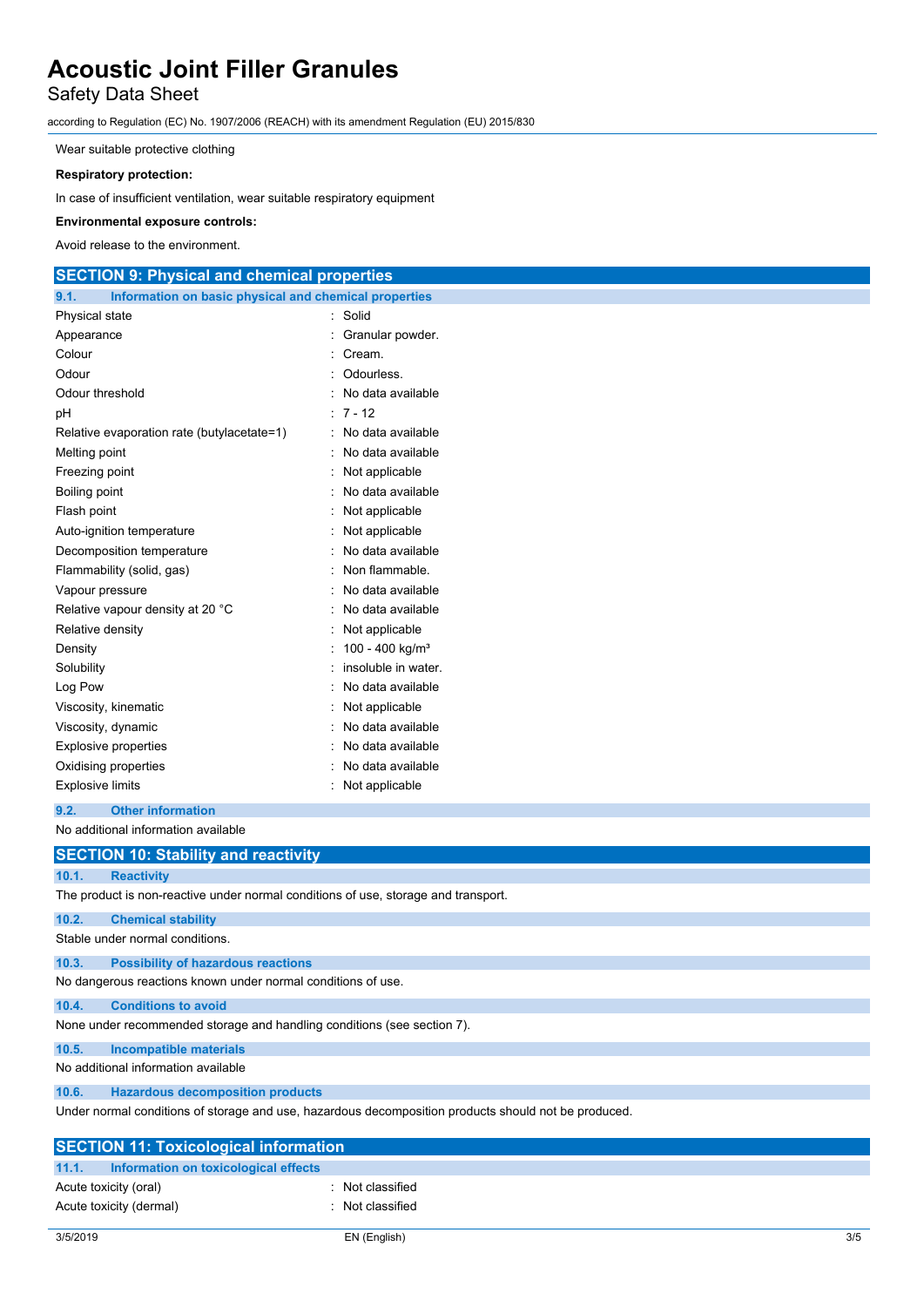### Safety Data Sheet

according to Regulation (EC) No. 1907/2006 (REACH) with its amendment Regulation (EU) 2015/830

Wear suitable protective clothing

#### **Respiratory protection:**

In case of insufficient ventilation, wear suitable respiratory equipment

#### **Environmental exposure controls:**

Avoid release to the environment.

### **SECTION 9: Physical and chemical properties**

| 9.1.                        | Information on basic physical and chemical properties |  |                             |
|-----------------------------|-------------------------------------------------------|--|-----------------------------|
| Physical state              |                                                       |  | Solid                       |
| Appearance                  |                                                       |  | Granular powder.            |
| Colour                      |                                                       |  | Cream.                      |
| Odour                       |                                                       |  | Odourless.                  |
| Odour threshold             |                                                       |  | No data available           |
| рH                          |                                                       |  | $7 - 12$                    |
|                             | Relative evaporation rate (butylacetate=1)            |  | No data available           |
| Melting point               |                                                       |  | No data available           |
| Freezing point              |                                                       |  | Not applicable              |
| Boiling point               |                                                       |  | No data available           |
| Flash point                 |                                                       |  | Not applicable              |
|                             | Auto-ignition temperature                             |  | Not applicable              |
|                             | Decomposition temperature                             |  | No data available           |
|                             | Flammability (solid, gas)                             |  | Non flammable.              |
| Vapour pressure             |                                                       |  | No data available           |
|                             | Relative vapour density at 20 °C                      |  | No data available           |
| Relative density            |                                                       |  | Not applicable              |
| Density                     |                                                       |  | 100 - 400 kg/m <sup>3</sup> |
| Solubility                  |                                                       |  | insoluble in water.         |
| Log Pow                     |                                                       |  | No data available           |
|                             | Viscosity, kinematic                                  |  | Not applicable              |
| Viscosity, dynamic          |                                                       |  | No data available           |
| <b>Explosive properties</b> |                                                       |  | No data available           |
|                             | Oxidising properties                                  |  | No data available           |
| <b>Explosive limits</b>     |                                                       |  | Not applicable              |
|                             | 0.0 Other before attend                               |  |                             |

**9.2. Other information** No additional information available

|                                 | No additional information available                                                |                                                                                                      |  |
|---------------------------------|------------------------------------------------------------------------------------|------------------------------------------------------------------------------------------------------|--|
|                                 | <b>SECTION 10: Stability and reactivity</b>                                        |                                                                                                      |  |
| 10.1.                           | <b>Reactivity</b>                                                                  |                                                                                                      |  |
|                                 | The product is non-reactive under normal conditions of use, storage and transport. |                                                                                                      |  |
| 10.2.                           | <b>Chemical stability</b>                                                          |                                                                                                      |  |
| Stable under normal conditions. |                                                                                    |                                                                                                      |  |
| 10.3.                           | <b>Possibility of hazardous reactions</b>                                          |                                                                                                      |  |
|                                 | No dangerous reactions known under normal conditions of use.                       |                                                                                                      |  |
| 10.4.                           | <b>Conditions to avoid</b>                                                         |                                                                                                      |  |
|                                 | None under recommended storage and handling conditions (see section 7).            |                                                                                                      |  |
| 10.5.                           | <b>Incompatible materials</b>                                                      |                                                                                                      |  |
|                                 | No additional information available                                                |                                                                                                      |  |
| 10.6.                           | <b>Hazardous decomposition products</b>                                            |                                                                                                      |  |
|                                 |                                                                                    | Under normal conditions of storage and use, hazardous decomposition products should not be produced. |  |
|                                 | <b>SECTION 11: Toxicological information</b>                                       |                                                                                                      |  |
| 11.1.                           | Information on toxicological effects                                               |                                                                                                      |  |
|                                 | Acute toxicity (oral)                                                              | Not classified                                                                                       |  |
|                                 | Acute toxicity (dermal)                                                            | Not classified                                                                                       |  |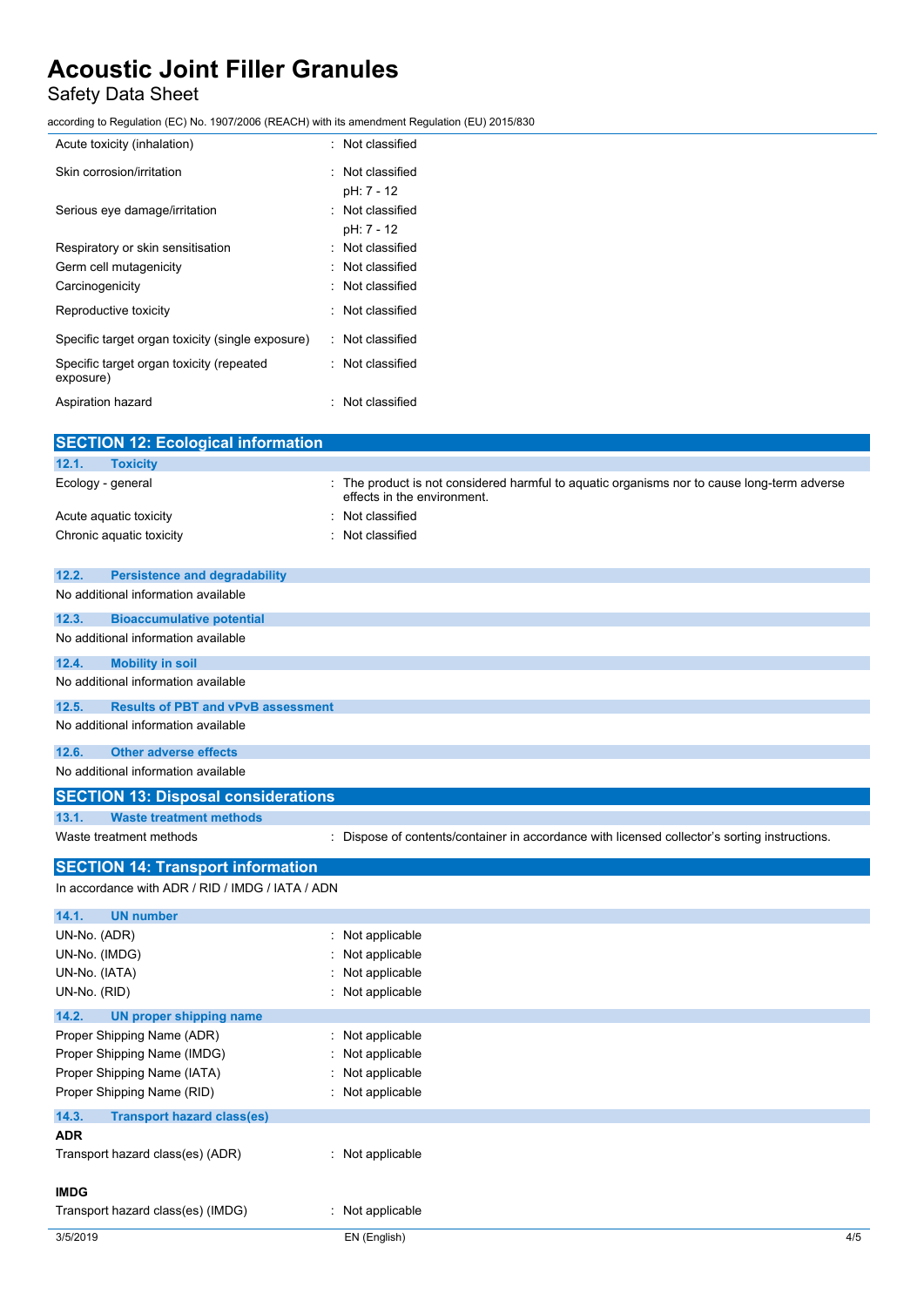### Safety Data Sheet

according to Regulation (EC) No. 1907/2006 (REACH) with its amendment Regulation (EU) 2015/830

| Acute toxicity (inhalation)                           | : Not classified               |
|-------------------------------------------------------|--------------------------------|
| Skin corrosion/irritation                             | : Not classified<br>pH: 7 - 12 |
| Serious eye damage/irritation                         | : Not classified<br>pH: 7 - 12 |
| Respiratory or skin sensitisation                     | : Not classified               |
| Germ cell mutagenicity                                | : Not classified               |
| Carcinogenicity                                       | : Not classified               |
| Reproductive toxicity                                 | : Not classified               |
| Specific target organ toxicity (single exposure)      | : Not classified               |
| Specific target organ toxicity (repeated<br>exposure) | : Not classified               |
| Aspiration hazard                                     | : Not classified               |

| <b>SECTION 12: Ecological information</b>          |                                                                                                                            |     |
|----------------------------------------------------|----------------------------------------------------------------------------------------------------------------------------|-----|
| 12.1.<br><b>Toxicity</b>                           |                                                                                                                            |     |
| Ecology - general                                  | : The product is not considered harmful to aquatic organisms nor to cause long-term adverse<br>effects in the environment. |     |
| Acute aquatic toxicity                             | Not classified                                                                                                             |     |
| Chronic aquatic toxicity                           | Not classified                                                                                                             |     |
|                                                    |                                                                                                                            |     |
| 12.2.<br><b>Persistence and degradability</b>      |                                                                                                                            |     |
| No additional information available                |                                                                                                                            |     |
| 12.3.<br><b>Bioaccumulative potential</b>          |                                                                                                                            |     |
| No additional information available                |                                                                                                                            |     |
| <b>Mobility in soil</b><br>12.4.                   |                                                                                                                            |     |
| No additional information available                |                                                                                                                            |     |
| 12.5.<br><b>Results of PBT and vPvB assessment</b> |                                                                                                                            |     |
| No additional information available                |                                                                                                                            |     |
| 12.6.<br><b>Other adverse effects</b>              |                                                                                                                            |     |
| No additional information available                |                                                                                                                            |     |
|                                                    |                                                                                                                            |     |
| <b>SECTION 13: Disposal considerations</b>         |                                                                                                                            |     |
| <b>Waste treatment methods</b><br>13.1.            |                                                                                                                            |     |
| Waste treatment methods                            | Dispose of contents/container in accordance with licensed collector's sorting instructions.<br>t.                          |     |
| <b>SECTION 14: Transport information</b>           |                                                                                                                            |     |
| In accordance with ADR / RID / IMDG / IATA / ADN   |                                                                                                                            |     |
| 14.1.<br><b>UN number</b>                          |                                                                                                                            |     |
| UN-No. (ADR)                                       | Not applicable                                                                                                             |     |
| UN-No. (IMDG)                                      | Not applicable                                                                                                             |     |
| UN-No. (IATA)                                      | Not applicable                                                                                                             |     |
| UN-No. (RID)                                       | Not applicable                                                                                                             |     |
| <b>UN proper shipping name</b><br>14.2.            |                                                                                                                            |     |
| Proper Shipping Name (ADR)                         | Not applicable                                                                                                             |     |
| Proper Shipping Name (IMDG)                        | Not applicable                                                                                                             |     |
| Proper Shipping Name (IATA)                        | Not applicable                                                                                                             |     |
| Proper Shipping Name (RID)                         | Not applicable                                                                                                             |     |
| <b>Transport hazard class(es)</b><br>14.3.         |                                                                                                                            |     |
| <b>ADR</b>                                         |                                                                                                                            |     |
| Transport hazard class(es) (ADR)                   | : Not applicable                                                                                                           |     |
| <b>IMDG</b>                                        |                                                                                                                            |     |
| Transport hazard class(es) (IMDG)                  | : Not applicable                                                                                                           |     |
| 3/5/2019                                           | EN (English)                                                                                                               | 4/5 |
|                                                    |                                                                                                                            |     |